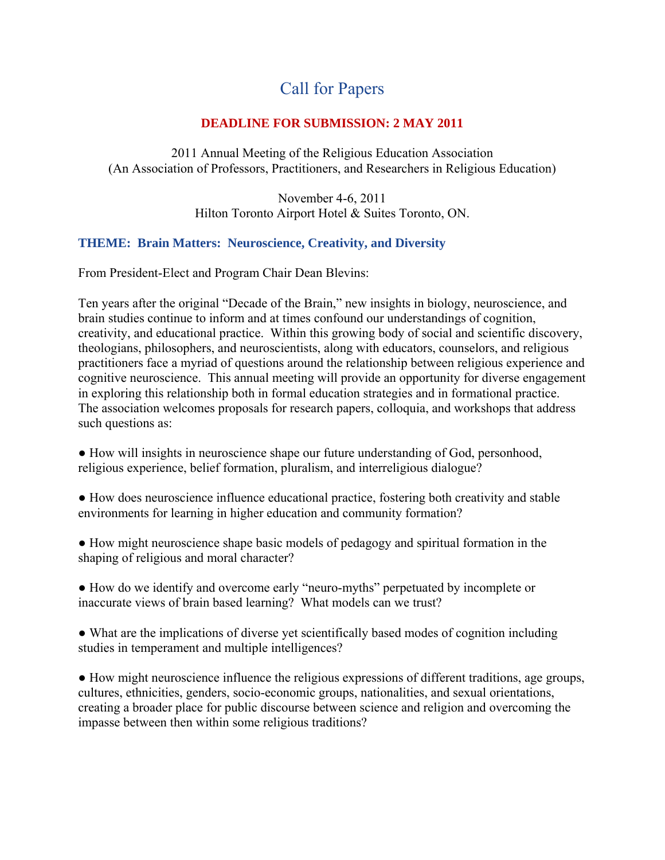# Call for Papers

## **DEADLINE FOR SUBMISSION: 2 MAY 2011**

2011 Annual Meeting of the Religious Education Association (An Association of Professors, Practitioners, and Researchers in Religious Education)

> November 4-6, 2011 Hilton Toronto Airport Hotel & Suites Toronto, ON.

## **THEME: Brain Matters: Neuroscience, Creativity, and Diversity**

From President-Elect and Program Chair Dean Blevins:

Ten years after the original "Decade of the Brain," new insights in biology, neuroscience, and brain studies continue to inform and at times confound our understandings of cognition, creativity, and educational practice. Within this growing body of social and scientific discovery, theologians, philosophers, and neuroscientists, along with educators, counselors, and religious practitioners face a myriad of questions around the relationship between religious experience and cognitive neuroscience. This annual meeting will provide an opportunity for diverse engagement in exploring this relationship both in formal education strategies and in formational practice. The association welcomes proposals for research papers, colloquia, and workshops that address such questions as:

- How will insights in neuroscience shape our future understanding of God, personhood, religious experience, belief formation, pluralism, and interreligious dialogue?
- How does neuroscience influence educational practice, fostering both creativity and stable environments for learning in higher education and community formation?
- How might neuroscience shape basic models of pedagogy and spiritual formation in the shaping of religious and moral character?
- How do we identify and overcome early "neuro-myths" perpetuated by incomplete or inaccurate views of brain based learning? What models can we trust?
- What are the implications of diverse yet scientifically based modes of cognition including studies in temperament and multiple intelligences?

● How might neuroscience influence the religious expressions of different traditions, age groups, cultures, ethnicities, genders, socio-economic groups, nationalities, and sexual orientations, creating a broader place for public discourse between science and religion and overcoming the impasse between then within some religious traditions?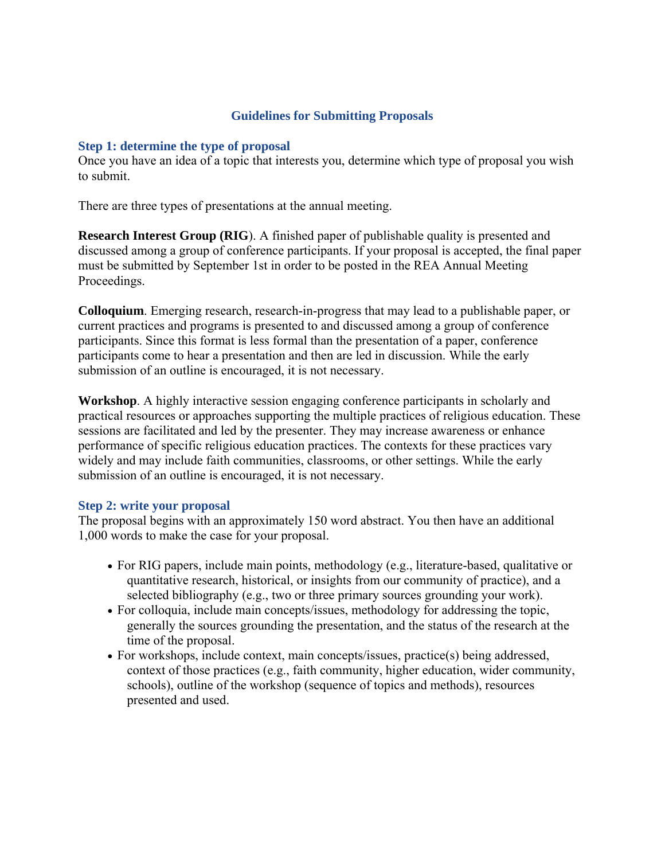## **Guidelines for Submitting Proposals**

### **Step 1: determine the type of proposal**

Once you have an idea of a topic that interests you, determine which type of proposal you wish to submit.

There are three types of presentations at the annual meeting.

**Research Interest Group (RIG**). A finished paper of publishable quality is presented and discussed among a group of conference participants. If your proposal is accepted, the final paper must be submitted by September 1st in order to be posted in the REA Annual Meeting Proceedings.

**Colloquium**. Emerging research, research-in-progress that may lead to a publishable paper, or current practices and programs is presented to and discussed among a group of conference participants. Since this format is less formal than the presentation of a paper, conference participants come to hear a presentation and then are led in discussion. While the early submission of an outline is encouraged, it is not necessary.

**Workshop**. A highly interactive session engaging conference participants in scholarly and practical resources or approaches supporting the multiple practices of religious education. These sessions are facilitated and led by the presenter. They may increase awareness or enhance performance of specific religious education practices. The contexts for these practices vary widely and may include faith communities, classrooms, or other settings. While the early submission of an outline is encouraged, it is not necessary.

### **Step 2: write your proposal**

The proposal begins with an approximately 150 word abstract. You then have an additional 1,000 words to make the case for your proposal.

- For RIG papers, include main points, methodology (e.g., literature-based, qualitative or quantitative research, historical, or insights from our community of practice), and a selected bibliography (e.g., two or three primary sources grounding your work).
- For colloquia, include main concepts/issues, methodology for addressing the topic, generally the sources grounding the presentation, and the status of the research at the time of the proposal.
- For workshops, include context, main concepts/issues, practice(s) being addressed, context of those practices (e.g., faith community, higher education, wider community, schools), outline of the workshop (sequence of topics and methods), resources presented and used.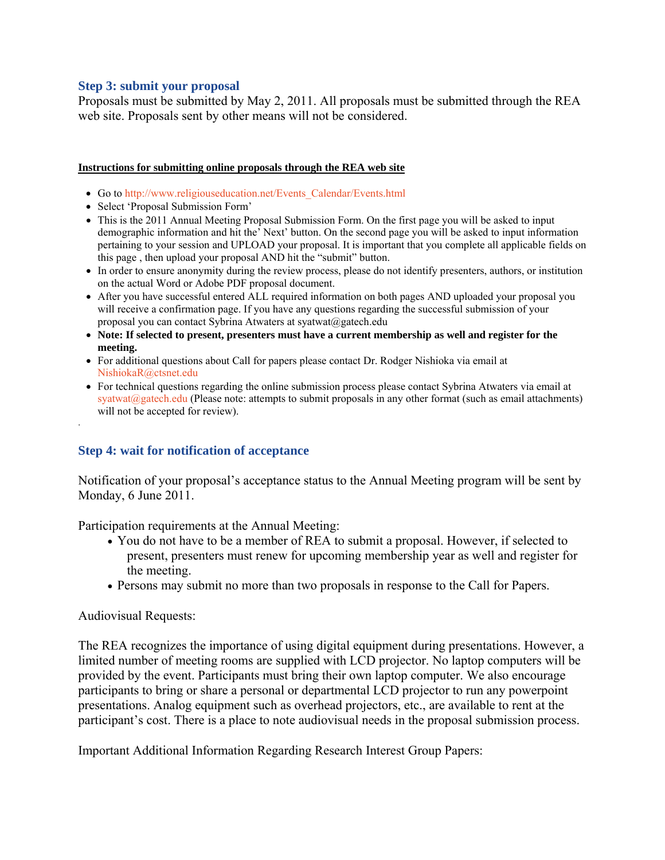### **Step 3: submit your proposal**

Proposals must be submitted by May 2, 2011. All proposals must be submitted through the REA web site. Proposals sent by other means will not be considered.

#### **Instructions for submitting online proposals through the REA web site**

- Go to http://www.religiouseducation.net/Events\_Calendar/Events.html
- Select 'Proposal Submission Form'
- This is the 2011 Annual Meeting Proposal Submission Form. On the first page you will be asked to input demographic information and hit the' Next' button. On the second page you will be asked to input information pertaining to your session and UPLOAD your proposal. It is important that you complete all applicable fields on this page , then upload your proposal AND hit the "submit" button.
- In order to ensure anonymity during the review process, please do not identify presenters, authors, or institution on the actual Word or Adobe PDF proposal document.
- After you have successful entered ALL required information on both pages AND uploaded your proposal you will receive a confirmation page. If you have any questions regarding the successful submission of your proposal you can contact Sybrina Atwaters at syatwat@gatech.edu
- **Note: If selected to present, presenters must have a current membership as well and register for the meeting.**
- For additional questions about Call for papers please contact Dr. Rodger Nishioka via email at NishiokaR@ctsnet.edu
- For technical questions regarding the online submission process please contact Sybrina Atwaters via email at  $s$ yatwat $@$ gatech.edu (Please note: attempts to submit proposals in any other format (such as email attachments) will not be accepted for review).

### **Step 4: wait for notification of acceptance**

Notification of your proposal's acceptance status to the Annual Meeting program will be sent by Monday, 6 June 2011.

Participation requirements at the Annual Meeting:

- You do not have to be a member of REA to submit a proposal. However, if selected to present, presenters must renew for upcoming membership year as well and register for the meeting.
- Persons may submit no more than two proposals in response to the Call for Papers.

### Audiovisual Requests:

.

The REA recognizes the importance of using digital equipment during presentations. However, a limited number of meeting rooms are supplied with LCD projector. No laptop computers will be provided by the event. Participants must bring their own laptop computer. We also encourage participants to bring or share a personal or departmental LCD projector to run any powerpoint presentations. Analog equipment such as overhead projectors, etc., are available to rent at the participant's cost. There is a place to note audiovisual needs in the proposal submission process.

Important Additional Information Regarding Research Interest Group Papers: